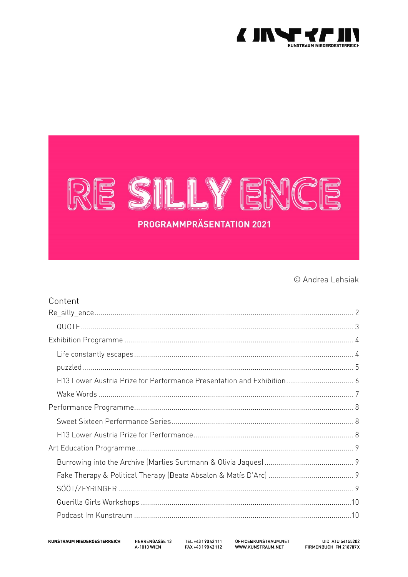

# RE SILLY ENCE **PROGRAMMPRÄSENTATION 2021**

© Andrea Lehsiak

| Content |  |
|---------|--|
|         |  |
|         |  |
|         |  |
|         |  |
|         |  |
|         |  |
|         |  |
|         |  |
|         |  |
|         |  |
|         |  |
|         |  |
|         |  |
|         |  |
|         |  |
|         |  |

KUNSTRAUM NIEDEROESTERREICH

HERRENGASSE 13 **A-1010 WIEN** 

TEL +4319042111 FAX +4319042112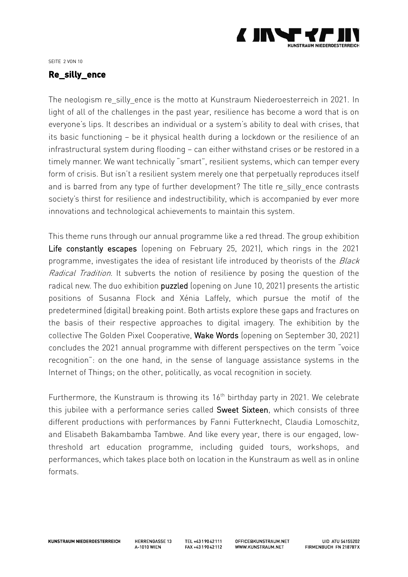

SEITE 2 VON 10

#### <span id="page-1-0"></span>**Re\_silly\_ence**

The neologism re silly ence is the motto at Kunstraum Niederoesterreich in 2021. In light of all of the challenges in the past year, resilience has become a word that is on everyone's lips. It describes an individual or a system's ability to deal with crises, that its basic functioning – be it physical health during a lockdown or the resilience of an infrastructural system during flooding – can either withstand crises or be restored in a timely manner. We want technically "smart", resilient systems, which can temper every form of crisis. But isn't a resilient system merely one that perpetually reproduces itself and is barred from any type of further development? The title re\_silly\_ence contrasts society's thirst for resilience and indestructibility, which is accompanied by ever more innovations and technological achievements to maintain this system.

This theme runs through our annual programme like a red thread. The group exhibition Life constantly escapes (opening on February 25, 2021), which rings in the 2021 programme, investigates the idea of resistant life introduced by theorists of the Black Radical Tradition. It subverts the notion of resilience by posing the question of the radical new. The duo exhibition puzzled (opening on June 10, 2021) presents the artistic positions of Susanna Flock and Xénia Laffely, which pursue the motif of the predetermined (digital) breaking point. Both artists explore these gaps and fractures on the basis of their respective approaches to digital imagery. The exhibition by the collective The Golden Pixel Cooperative, Wake Words (opening on September 30, 2021) concludes the 2021 annual programme with different perspectives on the term "voice recognition": on the one hand, in the sense of language assistance systems in the Internet of Things; on the other, politically, as vocal recognition in society.

Furthermore, the Kunstraum is throwing its 16<sup>th</sup> birthday party in 2021. We celebrate this jubilee with a performance series called Sweet Sixteen, which consists of three different productions with performances by Fanni Futterknecht, Claudia Lomoschitz, and Elisabeth Bakambamba Tambwe. And like every year, there is our engaged, lowthreshold art education programme, including guided tours, workshops, and performances, which takes place both on location in the Kunstraum as well as in online formats.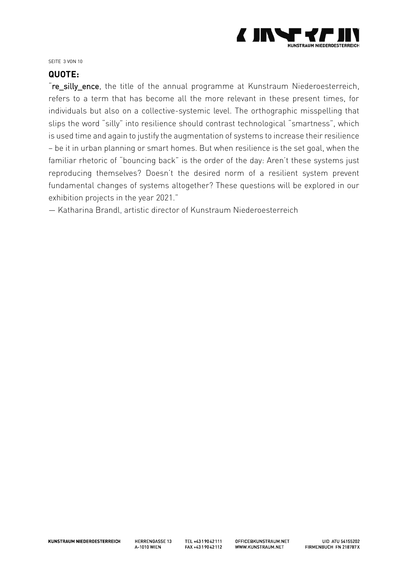

SEITE 3 VON 10

#### <span id="page-2-0"></span>**QUOTE:**

"re silly ence, the title of the annual programme at Kunstraum Niederoesterreich, refers to a term that has become all the more relevant in these present times, for individuals but also on a collective-systemic level. The orthographic misspelling that slips the word "silly" into resilience should contrast technological "smartness", which is used time and again to justify the augmentation of systems to increase their resilience – be it in urban planning or smart homes. But when resilience is the set goal, when the familiar rhetoric of "bouncing back" is the order of the day: Aren't these systems just reproducing themselves? Doesn't the desired norm of a resilient system prevent fundamental changes of systems altogether? These questions will be explored in our exhibition projects in the year 2021."

— Katharina Brandl, artistic director of Kunstraum Niederoesterreich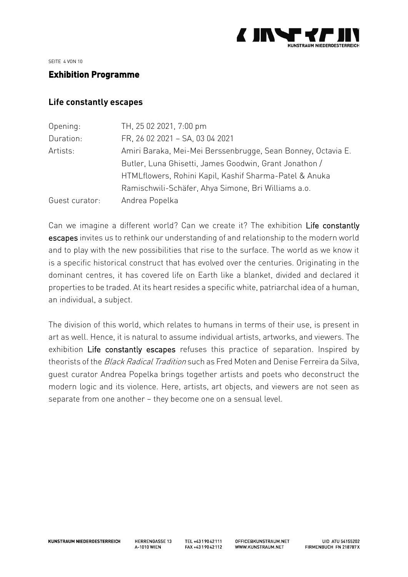

SEITE 4 VON 10

#### <span id="page-3-0"></span>**Exhibition Programme**

#### <span id="page-3-1"></span>**Life constantly escapes**

| Opening        | TH, 25 02 2021, 7:00 pm                                      |
|----------------|--------------------------------------------------------------|
| Duration:      | FR, 26 02 2021 - SA, 03 04 2021                              |
| Artists:       | Amiri Baraka, Mei-Mei Berssenbrugge, Sean Bonney, Octavia E. |
|                | Butler, Luna Ghisetti, James Goodwin, Grant Jonathon /       |
|                | HTMLflowers, Rohini Kapil, Kashif Sharma-Patel & Anuka       |
|                | Ramischwili-Schäfer, Ahya Simone, Bri Williams a.o.          |
| Guest curator: | Andrea Popelka                                               |

Can we imagine a different world? Can we create it? The exhibition Life constantly escapes invites us to rethink our understanding of and relationship to the modern world and to play with the new possibilities that rise to the surface. The world as we know it is a specific historical construct that has evolved over the centuries. Originating in the dominant centres, it has covered life on Earth like a blanket, divided and declared it properties to be traded. At its heart resides a specific white, patriarchal idea of a human, an individual, a subject.

The division of this world, which relates to humans in terms of their use, is present in art as well. Hence, it is natural to assume individual artists, artworks, and viewers. The exhibition Life constantly escapes refuses this practice of separation. Inspired by theorists of the Black Radical Tradition such as Fred Moten and Denise Ferreira da Silva, guest curator Andrea Popelka brings together artists and poets who deconstruct the modern logic and its violence. Here, artists, art objects, and viewers are not seen as separate from one another – they become one on a sensual level.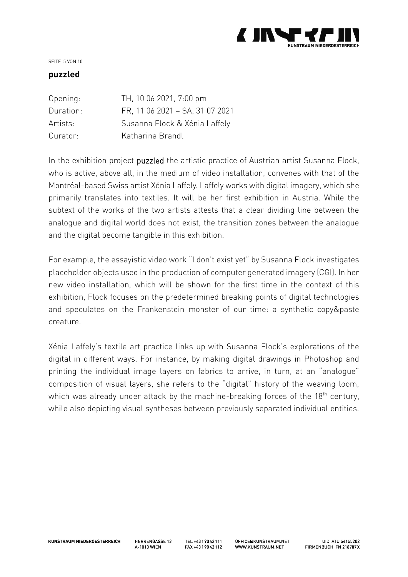

#### SEITE 5 VON 10

#### <span id="page-4-0"></span>**puzzled**

| Opening:  | TH, 10 06 2021, 7:00 pm         |
|-----------|---------------------------------|
| Duration: | FR, 11 06 2021 - SA, 31 07 2021 |
| Artists:  | Susanna Flock & Xénia Laffely   |
| Curator:  | Katharina Brandl                |

In the exhibition project puzzled the artistic practice of Austrian artist Susanna Flock, who is active, above all, in the medium of video installation, convenes with that of the Montréal-based Swiss artist Xénia Laffely. Laffely works with digital imagery, which she primarily translates into textiles. It will be her first exhibition in Austria. While the subtext of the works of the two artists attests that a clear dividing line between the analogue and digital world does not exist, the transition zones between the analogue and the digital become tangible in this exhibition.

For example, the essayistic video work "I don't exist yet" by Susanna Flock investigates placeholder objects used in the production of computer generated imagery (CGI). In her new video installation, which will be shown for the first time in the context of this exhibition, Flock focuses on the predetermined breaking points of digital technologies and speculates on the Frankenstein monster of our time: a synthetic copy&paste creature.

Xénia Laffely's textile art practice links up with Susanna Flock's explorations of the digital in different ways. For instance, by making digital drawings in Photoshop and printing the individual image layers on fabrics to arrive, in turn, at an "analogue" composition of visual layers, she refers to the "digital" history of the weaving loom, which was already under attack by the machine-breaking forces of the 18<sup>th</sup> century, while also depicting visual syntheses between previously separated individual entities.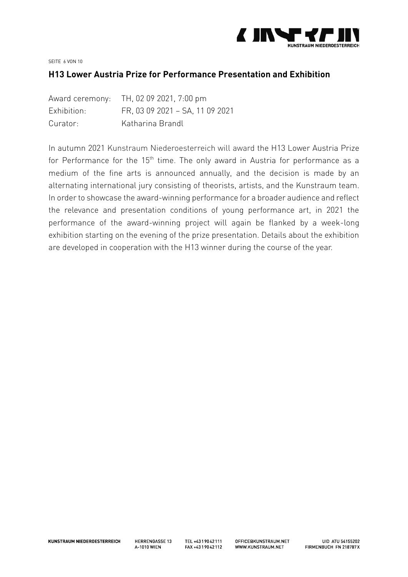

SEITE 6 VON 10

#### <span id="page-5-0"></span>**H13 Lower Austria Prize for Performance Presentation and Exhibition**

|             | Award ceremony: TH, 02 09 2021, 7:00 pm |
|-------------|-----------------------------------------|
| Exhibition: | FR, 03 09 2021 - SA, 11 09 2021         |
| Curator:    | Katharina Brandl                        |

In autumn 2021 Kunstraum Niederoesterreich will award the H13 Lower Austria Prize for Performance for the 15<sup>th</sup> time. The only award in Austria for performance as a medium of the fine arts is announced annually, and the decision is made by an alternating international jury consisting of theorists, artists, and the Kunstraum team. In order to showcase the award-winning performance for a broader audience and reflect the relevance and presentation conditions of young performance art, in 2021 the performance of the award-winning project will again be flanked by a week-long exhibition starting on the evening of the prize presentation. Details about the exhibition are developed in cooperation with the H13 winner during the course of the year.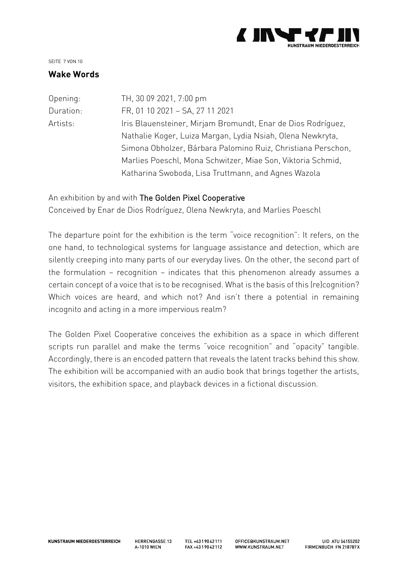

#### SEITE 7 VON 10

#### <span id="page-6-0"></span>**Wake Words**

| Opening:  | TH, 30 09 2021, 7:00 pm                                      |
|-----------|--------------------------------------------------------------|
| Duration: | FR, 01 10 2021 - SA, 27 11 2021                              |
| Artists:  | Iris Blauensteiner, Mirjam Bromundt, Enar de Dios Rodríguez, |
|           | Nathalie Koger, Luiza Margan, Lydia Nsiah, Olena Newkryta,   |
|           | Simona Obholzer, Bárbara Palomino Ruiz, Christiana Perschon, |
|           | Marlies Poeschl, Mona Schwitzer, Miae Son, Viktoria Schmid,  |
|           | Katharina Swoboda, Lisa Truttmann, and Agnes Wazola          |
|           |                                                              |

#### An exhibition by and with The Golden Pixel Cooperative

Conceived by Enar de Dios Rodríguez, Olena Newkryta, and Marlies Poeschl

The departure point for the exhibition is the term "voice recognition": It refers, on the one hand, to technological systems for language assistance and detection, which are silently creeping into many parts of our everyday lives. On the other, the second part of the formulation – recognition – indicates that this phenomenon already assumes a certain concept of a voice that is to be recognised. What is the basis of this (re)cognition? Which voices are heard, and which not? And isn't there a potential in remaining incognito and acting in a more impervious realm?

The Golden Pixel Cooperative conceives the exhibition as a space in which different scripts run parallel and make the terms "voice recognition" and "opacity" tangible. Accordingly, there is an encoded pattern that reveals the latent tracks behind this show. The exhibition will be accompanied with an audio book that brings together the artists, visitors, the exhibition space, and playback devices in a fictional discussion.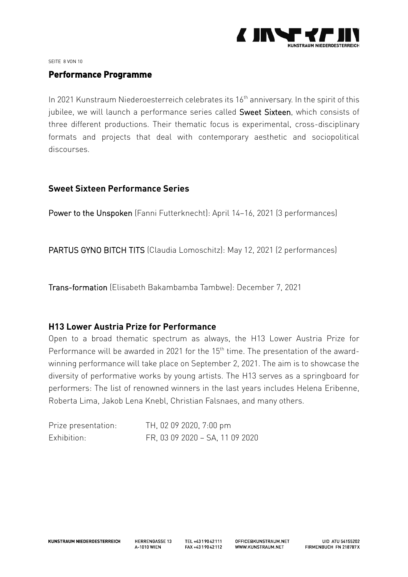

SEITE 8 VON 10

#### <span id="page-7-0"></span>**Performance Programme**

In 2021 Kunstraum Niederoesterreich celebrates its 16<sup>th</sup> anniversary. In the spirit of this jubilee, we will launch a performance series called Sweet Sixteen, which consists of three different productions. Their thematic focus is experimental, cross-disciplinary formats and projects that deal with contemporary aesthetic and sociopolitical discourses.

#### <span id="page-7-1"></span>**Sweet Sixteen Performance Series**

Power to the Unspoken (Fanni Futterknecht): April 14–16, 2021 (3 performances)

PARTUS GYNO BITCH TITS (Claudia Lomoschitz): May 12, 2021 (2 performances)

Trans-formation (Elisabeth Bakambamba Tambwe): December 7, 2021

#### <span id="page-7-2"></span>**H13 Lower Austria Prize for Performance**

Open to a broad thematic spectrum as always, the H13 Lower Austria Prize for Performance will be awarded in 2021 for the 15<sup>th</sup> time. The presentation of the awardwinning performance will take place on September 2, 2021. The aim is to showcase the diversity of performative works by young artists. The H13 serves as a springboard for performers: The list of renowned winners in the last years includes Helena Eribenne, Roberta Lima, Jakob Lena Knebl, Christian Falsnaes, and many others.

| Prize presentation: | TH, 02 09 2020, 7:00 pm         |
|---------------------|---------------------------------|
| Exhibition:         | FR, 03 09 2020 - SA, 11 09 2020 |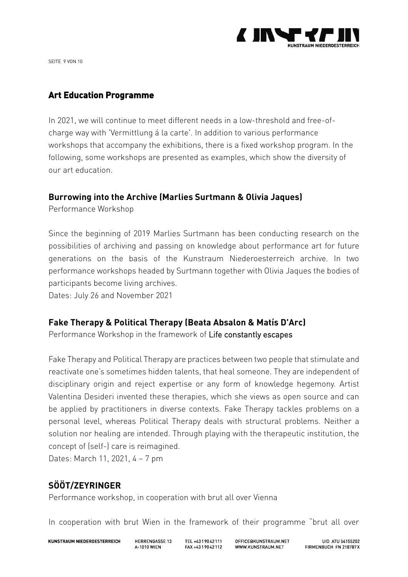

SEITE 9 VON 10

## <span id="page-8-0"></span>**Art Education Programme**

In 2021, we will continue to meet different needs in a low-threshold and free-ofcharge way with 'Vermittlung á la carte'. In addition to various performance workshops that accompany the exhibitions, there is a fixed workshop program. In the following, some workshops are presented as examples, which show the diversity of our art education.

#### <span id="page-8-1"></span>**Burrowing into the Archive (Marlies Surtmann & Olivia Jaques)**

Performance Workshop

Since the beginning of 2019 Marlies Surtmann has been conducting research on the possibilities of archiving and passing on knowledge about performance art for future generations on the basis of the Kunstraum Niederoesterreich archive. In two performance workshops headed by Surtmann together with Olivia Jaques the bodies of participants become living archives.

Dates: July 26 and November 2021

## <span id="page-8-2"></span>**Fake Therapy & Political Therapy (Beata Absalon & Matís D'Arc)**

Performance Workshop in the framework of Life constantly escapes

Fake Therapy and Political Therapy are practices between two people that stimulate and reactivate one's sometimes hidden talents, that heal someone. They are independent of disciplinary origin and reject expertise or any form of knowledge hegemony. Artist Valentina Desideri invented these therapies, which she views as open source and can be applied by practitioners in diverse contexts. Fake Therapy tackles problems on a personal level, whereas Political Therapy deals with structural problems. Neither a solution nor healing are intended. Through playing with the therapeutic institution, the concept of (self-) care is reimagined.

Dates: March 11, 2021, 4 – 7 pm

## <span id="page-8-3"></span>**SÖÖT/ZEYRINGER**

Performance workshop, in cooperation with brut all over Vienna

In cooperation with brut Wien in the framework of their programme "brut all over

**KUNSTRAUM NIEDEROESTERREICH** 

**HERRENGASSE 13 4-1010 WIFN** 

TEL +4319042111 FAX +4319042112

OFFICF@KUNSTRAUM.NFT WWW KUNSTRAUM NFT